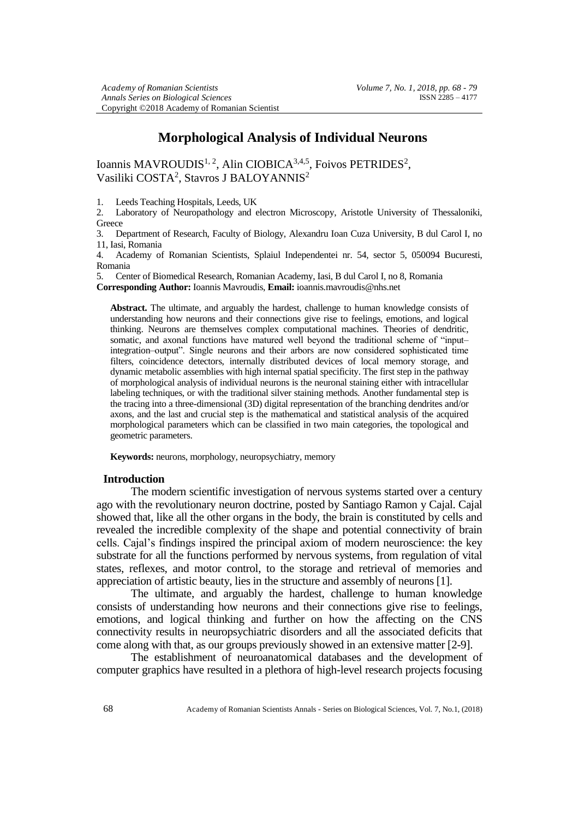# **Morphological Analysis of Individual Neurons**

Ioannis MAVROUDIS<sup>1, 2</sup>, Alin CIOBICA<sup>3,4,5</sup>, Foivos PETRIDES<sup>2</sup>, Vasiliki COSTA<sup>2</sup>, Stavros J BALOYANNIS<sup>2</sup>

1. Leeds Teaching Hospitals, Leeds, UK

2. Laboratory of Neuropathology and electron Microscopy, Aristotle University of Thessaloniki, **Greece** 

3. Department of Research, Faculty of Biology, Alexandru Ioan Cuza University, B dul Carol I, no 11, Iasi, Romania

4. Academy of Romanian Scientists, Splaiul Independentei nr. 54, sector 5, 050094 Bucuresti, Romania

5. Center of Biomedical Research, Romanian Academy, Iasi, B dul Carol I, no 8, Romania **Corresponding Author:** Ioannis Mavroudis, **Email:** ioannis.mavroudis@nhs.net

**Abstract.** The ultimate, and arguably the hardest, challenge to human knowledge consists of understanding how neurons and their connections give rise to feelings, emotions, and logical thinking. Neurons are themselves complex computational machines. Theories of dendritic, somatic, and axonal functions have matured well beyond the traditional scheme of "input– integration–output". Single neurons and their arbors are now considered sophisticated time filters, coincidence detectors, internally distributed devices of local memory storage, and dynamic metabolic assemblies with high internal spatial specificity. The first step in the pathway of morphological analysis of individual neurons is the neuronal staining either with intracellular labeling techniques, or with the traditional silver staining methods. Another fundamental step is the tracing into a three-dimensional (3D) digital representation of the branching dendrites and/or axons, and the last and crucial step is the mathematical and statistical analysis of the acquired morphological parameters which can be classified in two main categories, the topological and geometric parameters.

**Keywords:** neurons, morphology, neuropsychiatry, memory

### **Introduction**

The modern scientific investigation of nervous systems started over a century ago with the revolutionary neuron doctrine, posted by Santiago Ramon y Caial. Caial showed that, like all the other organs in the body, the brain is constituted by cells and revealed the incredible complexity of the shape and potential connectivity of brain cells. Cajal's findings inspired the principal axiom of modern neuroscience: the key substrate for all the functions performed by nervous systems, from regulation of vital states, reflexes, and motor control, to the storage and retrieval of memories and appreciation of artistic beauty, lies in the structure and assembly of neurons [1].

The ultimate, and arguably the hardest, challenge to human knowledge consists of understanding how neurons and their connections give rise to feelings, emotions, and logical thinking and further on how the affecting on the CNS connectivity results in neuropsychiatric disorders and all the associated deficits that come along with that, as our groups previously showed in an extensive matter [2-9].

The establishment of neuroanatomical databases and the development of computer graphics have resulted in a plethora of high-level research projects focusing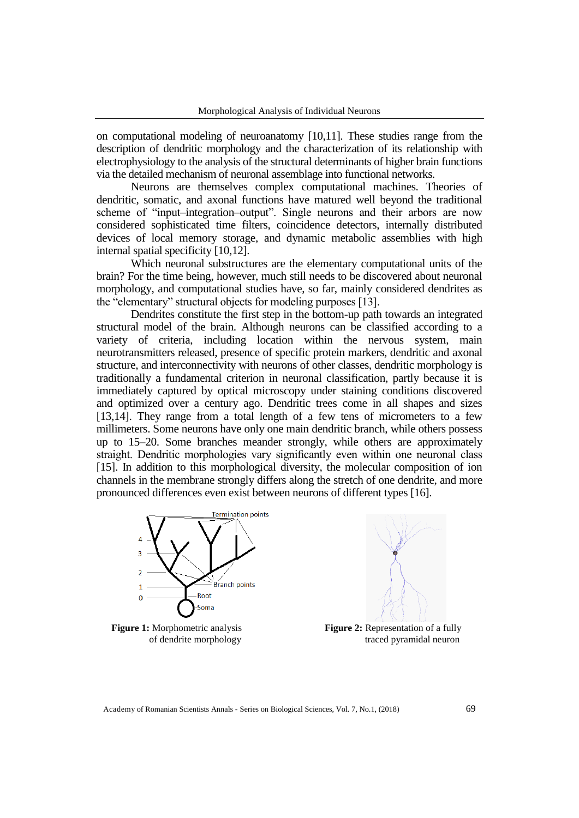on computational modeling of neuroanatomy [10,11]. These studies range from the description of dendritic morphology and the characterization of its relationship with electrophysiology to the analysis of the structural determinants of higher brain functions via the detailed mechanism of neuronal assemblage into functional networks.

Neurons are themselves complex computational machines. Theories of dendritic, somatic, and axonal functions have matured well beyond the traditional scheme of "input–integration–output". Single neurons and their arbors are now considered sophisticated time filters, coincidence detectors, internally distributed devices of local memory storage, and dynamic metabolic assemblies with high internal spatial specificity [10,12].

Which neuronal substructures are the elementary computational units of the brain? For the time being, however, much still needs to be discovered about neuronal morphology, and computational studies have, so far, mainly considered dendrites as the "elementary" structural objects for modeling purposes [13].

Dendrites constitute the first step in the bottom-up path towards an integrated structural model of the brain. Although neurons can be classified according to a variety of criteria, including location within the nervous system, main neurotransmitters released, presence of specific protein markers, dendritic and axonal structure, and interconnectivity with neurons of other classes, dendritic morphology is traditionally a fundamental criterion in neuronal classification, partly because it is immediately captured by optical microscopy under staining conditions discovered and optimized over a century ago. Dendritic trees come in all shapes and sizes [13,14]. They range from a total length of a few tens of micrometers to a few millimeters. Some neurons have only one main dendritic branch, while others possess up to 15–20. Some branches meander strongly, while others are approximately straight. Dendritic morphologies vary significantly even within one neuronal class [15]. In addition to this morphological diversity, the molecular composition of ion channels in the membrane strongly differs along the stretch of one dendrite, and more pronounced differences even exist between neurons of different types [16].





Academy of Romanian Scientists Annals - Series on Biological Sciences, Vol. 7, No.1, (2018) 69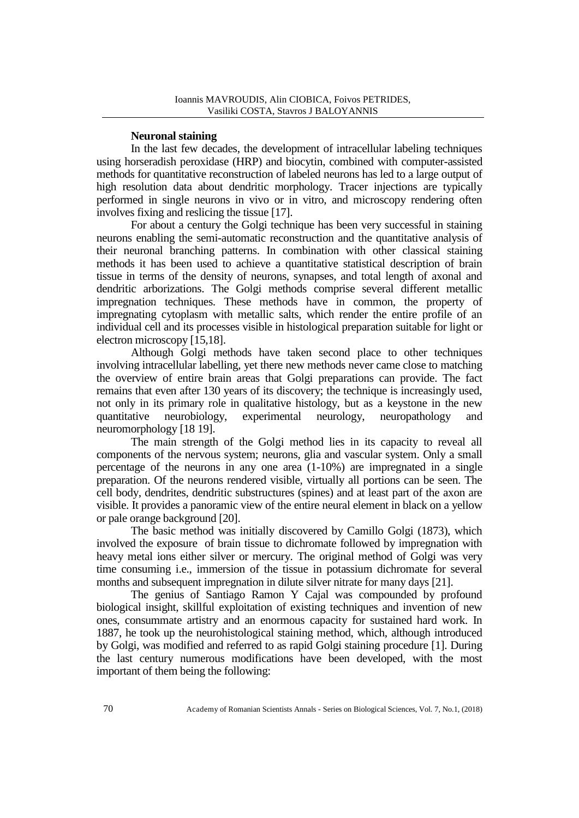### **Neuronal staining**

In the last few decades, the development of intracellular labeling techniques using horseradish peroxidase (HRP) and biocytin, combined with computer-assisted methods for quantitative reconstruction of labeled neurons has led to a large output of high resolution data about dendritic morphology. Tracer injections are typically performed in single neurons in vivo or in vitro, and microscopy rendering often involves fixing and reslicing the tissue [17].

For about a century the Golgi technique has been very successful in staining neurons enabling the semi-automatic reconstruction and the quantitative analysis of their neuronal branching patterns. In combination with other classical staining methods it has been used to achieve a quantitative statistical description of brain tissue in terms of the density of neurons, synapses, and total length of axonal and dendritic arborizations. The Golgi methods comprise several different metallic impregnation techniques. These methods have in common, the property of impregnating cytoplasm with metallic salts, which render the entire profile of an individual cell and its processes visible in histological preparation suitable for light or electron microscopy [15,18].

Although Golgi methods have taken second place to other techniques involving intracellular labelling, yet there new methods never came close to matching the overview of entire brain areas that Golgi preparations can provide. The fact remains that even after 130 years of its discovery; the technique is increasingly used, not only in its primary role in qualitative histology, but as a keystone in the new quantitative neurobiology, experimental neurology, neuropathology and neuromorphology [18 19].

The main strength of the Golgi method lies in its capacity to reveal all components of the nervous system; neurons, glia and vascular system. Only a small percentage of the neurons in any one area (1-10%) are impregnated in a single preparation. Of the neurons rendered visible, virtually all portions can be seen. The cell body, dendrites, dendritic substructures (spines) and at least part of the axon are visible. It provides a panoramic view of the entire neural element in black on a yellow or pale orange background [20].

The basic method was initially discovered by Camillo Golgi (1873), which involved the exposure of brain tissue to dichromate followed by impregnation with heavy metal ions either silver or mercury. The original method of Golgi was very time consuming i.e., immersion of the tissue in potassium dichromate for several months and subsequent impregnation in dilute silver nitrate for many days [21].

The genius of Santiago Ramon Y Cajal was compounded by profound biological insight, skillful exploitation of existing techniques and invention of new ones, consummate artistry and an enormous capacity for sustained hard work. In 1887, he took up the neurohistological staining method, which, although introduced by Golgi, was modified and referred to as rapid Golgi staining procedure [1]. During the last century numerous modifications have been developed, with the most important of them being the following: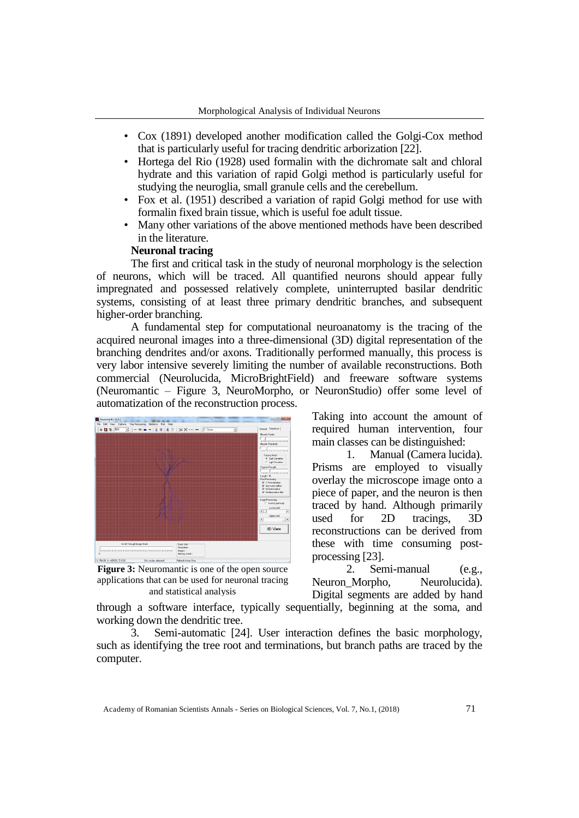- Cox (1891) developed another modification called the Golgi-Cox method that is particularly useful for tracing dendritic arborization [22].
- Hortega del Rio (1928) used formalin with the dichromate salt and chloral hydrate and this variation of rapid Golgi method is particularly useful for studying the neuroglia, small granule cells and the cerebellum.
- Fox et al. (1951) described a variation of rapid Golgi method for use with formalin fixed brain tissue, which is useful foe adult tissue.
- Many other variations of the above mentioned methods have been described in the literature.

## **Neuronal tracing**

The first and critical task in the study of neuronal morphology is the selection of neurons, which will be traced. All quantified neurons should appear fully impregnated and possessed relatively complete, uninterrupted basilar dendritic systems, consisting of at least three primary dendritic branches, and subsequent higher-order branching.

A fundamental step for computational neuroanatomy is the tracing of the acquired neuronal images into a three-dimensional (3D) digital representation of the branching dendrites and/or axons. Traditionally performed manually, this process is very labor intensive severely limiting the number of available reconstructions. Both commercial (Neurolucida, MicroBrightField) and freeware software systems (Neuromantic – Figure 3, NeuroMorpho, or NeuronStudio) offer some level of automatization of the reconstruction process.



**Figure 3:** Neuromantic is one of the open source applications that can be used for neuronal tracing and statistical analysis

Taking into account the amount of required human intervention, four main classes can be distinguished:

1. Manual (Camera lucida). Prisms are employed to visually overlay the microscope image onto a piece of paper, and the neuron is then traced by hand. Although primarily used for 2D tracings, 3D reconstructions can be derived from these with time consuming postprocessing [23].

2. Semi-manual (e.g., Neuron\_Morpho, Neurolucida). Digital segments are added by hand

through a software interface, typically sequentially, beginning at the soma, and working down the dendritic tree.

3. Semi-automatic [24]. User interaction defines the basic morphology, such as identifying the tree root and terminations, but branch paths are traced by the computer.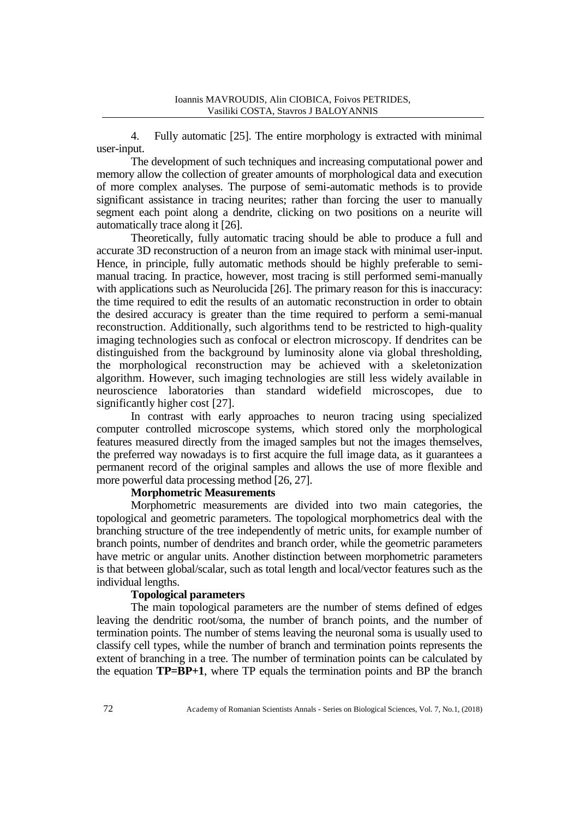4. Fully automatic [25]. The entire morphology is extracted with minimal user-input.

The development of such techniques and increasing computational power and memory allow the collection of greater amounts of morphological data and execution of more complex analyses. The purpose of semi-automatic methods is to provide significant assistance in tracing neurites; rather than forcing the user to manually segment each point along a dendrite, clicking on two positions on a neurite will automatically trace along it [26].

Theoretically, fully automatic tracing should be able to produce a full and accurate 3D reconstruction of a neuron from an image stack with minimal user-input. Hence, in principle, fully automatic methods should be highly preferable to semimanual tracing. In practice, however, most tracing is still performed semi-manually with applications such as Neurolucida [26]. The primary reason for this is inaccuracy: the time required to edit the results of an automatic reconstruction in order to obtain the desired accuracy is greater than the time required to perform a semi-manual reconstruction. Additionally, such algorithms tend to be restricted to high-quality imaging technologies such as confocal or electron microscopy. If dendrites can be distinguished from the background by luminosity alone via global thresholding, the morphological reconstruction may be achieved with a skeletonization algorithm. However, such imaging technologies are still less widely available in neuroscience laboratories than standard widefield microscopes, due to significantly higher cost [27].

In contrast with early approaches to neuron tracing using specialized computer controlled microscope systems, which stored only the morphological features measured directly from the imaged samples but not the images themselves, the preferred way nowadays is to first acquire the full image data, as it guarantees a permanent record of the original samples and allows the use of more flexible and more powerful data processing method [26, 27].

## **Morphometric Measurements**

Morphometric measurements are divided into two main categories, the topological and geometric parameters. The topological morphometrics deal with the branching structure of the tree independently of metric units, for example number of branch points, number of dendrites and branch order, while the geometric parameters have metric or angular units. Another distinction between morphometric parameters is that between global/scalar, such as total length and local/vector features such as the individual lengths.

### **Topological parameters**

The main topological parameters are the number of stems defined of edges leaving the dendritic root/soma, the number of branch points, and the number of termination points. The number of stems leaving the neuronal soma is usually used to classify cell types, while the number of branch and termination points represents the extent of branching in a tree. The number of termination points can be calculated by the equation **TP=BP+1**, where TP equals the termination points and BP the branch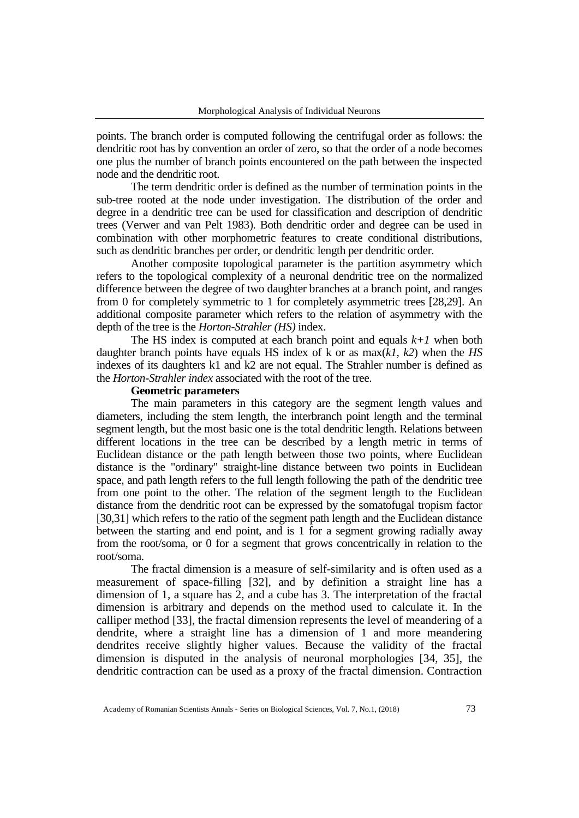points. The branch order is computed following the centrifugal order as follows: the dendritic root has by convention an order of zero, so that the order of a node becomes one plus the number of branch points encountered on the path between the inspected node and the dendritic root.

The term dendritic order is defined as the number of termination points in the sub-tree rooted at the node under investigation. The distribution of the order and degree in a dendritic tree can be used for classification and description of dendritic trees (Verwer and van Pelt 1983). Both dendritic order and degree can be used in combination with other morphometric features to create conditional distributions, such as dendritic branches per order, or dendritic length per dendritic order.

Another composite topological parameter is the partition asymmetry which refers to the topological complexity of a neuronal dendritic tree on the normalized difference between the degree of two daughter branches at a branch point, and ranges from 0 for completely symmetric to 1 for completely asymmetric trees [28,29]. An additional composite parameter which refers to the relation of asymmetry with the depth of the tree is the *Horton-Strahler (HS)* index.

The HS index is computed at each branch point and equals  $k+1$  when both daughter branch points have equals HS index of k or as max(*k1, k2*) when the *HS* indexes of its daughters k1 and k2 are not equal. The Strahler number is defined as the *Horton-Strahler index* associated with the root of the tree.

## **Geometric parameters**

The main parameters in this category are the segment length values and diameters, including the stem length, the interbranch point length and the terminal segment length, but the most basic one is the total dendritic length. Relations between different locations in the tree can be described by a length metric in terms of Euclidean distance or the path length between those two points, where Euclidean distance is the "ordinary" straight-line distance between two points in Euclidean space, and path length refers to the full length following the path of the dendritic tree from one point to the other. The relation of the segment length to the Euclidean distance from the dendritic root can be expressed by the somatofugal tropism factor [30,31] which refers to the ratio of the segment path length and the Euclidean distance between the starting and end point, and is 1 for a segment growing radially away from the root/soma, or 0 for a segment that grows concentrically in relation to the root/soma.

The fractal dimension is a measure of self-similarity and is often used as a measurement of space-filling [32], and by definition a straight line has a dimension of 1, a square has 2, and a cube has 3. The interpretation of the fractal dimension is arbitrary and depends on the method used to calculate it. In the calliper method [33], the fractal dimension represents the level of meandering of a dendrite, where a straight line has a dimension of 1 and more meandering dendrites receive slightly higher values. Because the validity of the fractal dimension is disputed in the analysis of neuronal morphologies [34, 35], the dendritic contraction can be used as a proxy of the fractal dimension. Contraction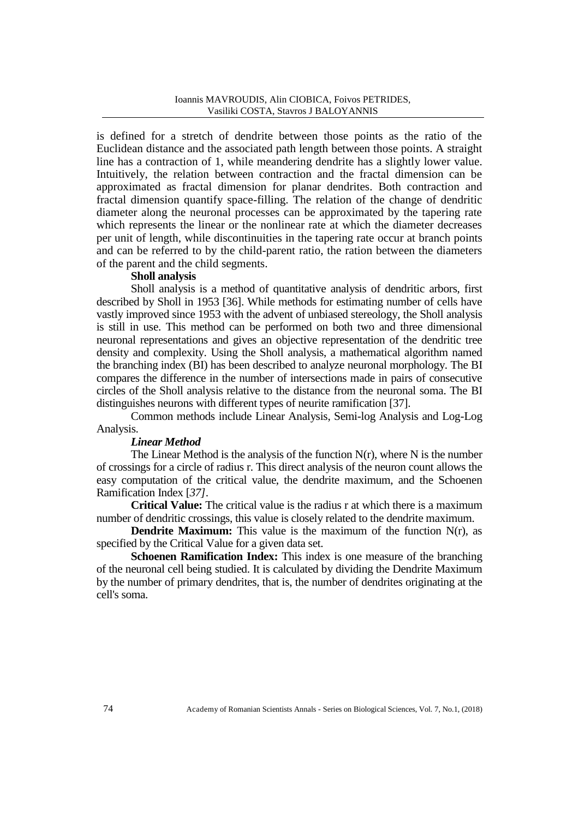is defined for a stretch of dendrite between those points as the ratio of the Euclidean distance and the associated path length between those points. A straight line has a contraction of 1, while meandering dendrite has a slightly lower value. Intuitively, the relation between contraction and the fractal dimension can be approximated as fractal dimension for planar dendrites. Both contraction and fractal dimension quantify space-filling. The relation of the change of dendritic diameter along the neuronal processes can be approximated by the tapering rate which represents the linear or the nonlinear rate at which the diameter decreases per unit of length, while discontinuities in the tapering rate occur at branch points and can be referred to by the child-parent ratio, the ration between the diameters of the parent and the child segments.

### **Sholl analysis**

Sholl analysis is a method of quantitative analysis of dendritic arbors, first described by Sholl in 1953 [36]. While methods for estimating number of cells have vastly improved since 1953 with the advent of unbiased stereology, the Sholl analysis is still in use. This method can be performed on both two and three dimensional neuronal representations and gives an objective representation of the dendritic tree density and complexity. Using the Sholl analysis, a mathematical algorithm named the branching index (BI) has been described to analyze neuronal morphology. The BI compares the difference in the number of intersections made in pairs of consecutive circles of the Sholl analysis relative to the distance from the neuronal soma. The BI distinguishes neurons with different types of neurite ramification [37].

Common methods include Linear Analysis, Semi-log Analysis and Log-Log Analysis.

## *Linear Method*

The Linear Method is the analysis of the function  $N(r)$ , where N is the number of crossings for a circle of radius r. This direct analysis of the neuron count allows the easy computation of the critical value, the dendrite maximum, and the Schoenen Ramification Index [*37]*.

**Critical Value:** The critical value is the radius r at which there is a maximum number of dendritic crossings, this value is closely related to the dendrite maximum.

**Dendrite Maximum:** This value is the maximum of the function N(r), as specified by the Critical Value for a given data set.

**Schoenen Ramification Index:** This index is one measure of the branching of the neuronal cell being studied. It is calculated by dividing the Dendrite Maximum by the number of primary dendrites, that is, the number of dendrites originating at the cell's soma.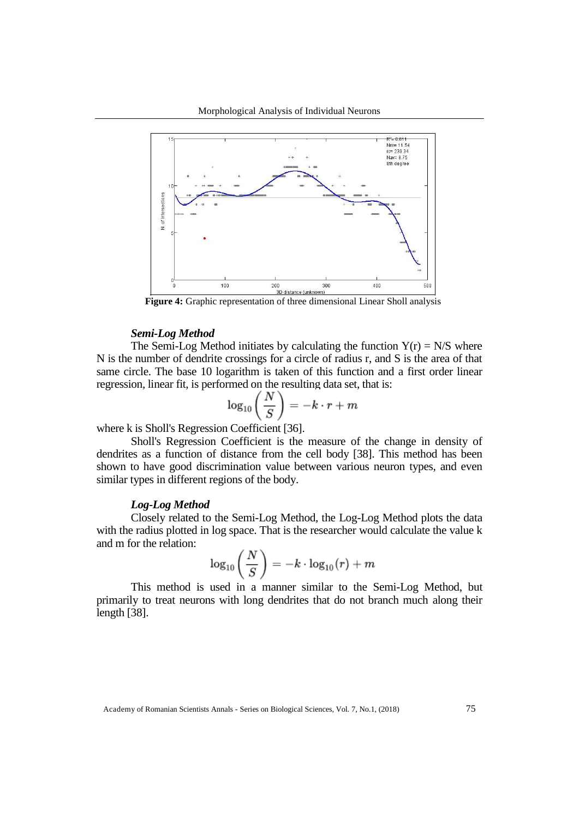

**Figure 4:** Graphic representation of three dimensional Linear Sholl analysis

### *Semi-Log Method*

The Semi-Log Method initiates by calculating the function  $Y(r) = N/S$  where N is the number of dendrite crossings for a circle of radius r, and S is the area of that same circle. The base 10 logarithm is taken of this function and a first order linear regression, linear fit, is performed on the resulting data set, that is:

$$
\log_{10}\left(\frac{N}{S}\right) = -k \cdot r + m
$$

where k is Sholl's Regression Coefficient [36].

Sholl's Regression Coefficient is the measure of the change in density of dendrites as a function of distance from the cell body [38]. This method has been shown to have good discrimination value between various neuron types, and even similar types in different regions of the body.

### *Log-Log Method*

Closely related to the Semi-Log Method, the Log-Log Method plots the data with the radius plotted in log space. That is the researcher would calculate the value k and m for the relation:

$$
\log_{10}\left(\frac{N}{S}\right)=-k\cdot\log_{10}(r)+m
$$

This method is used in a manner similar to the Semi-Log Method, but primarily to treat neurons with long dendrites that do not branch much along their length [38].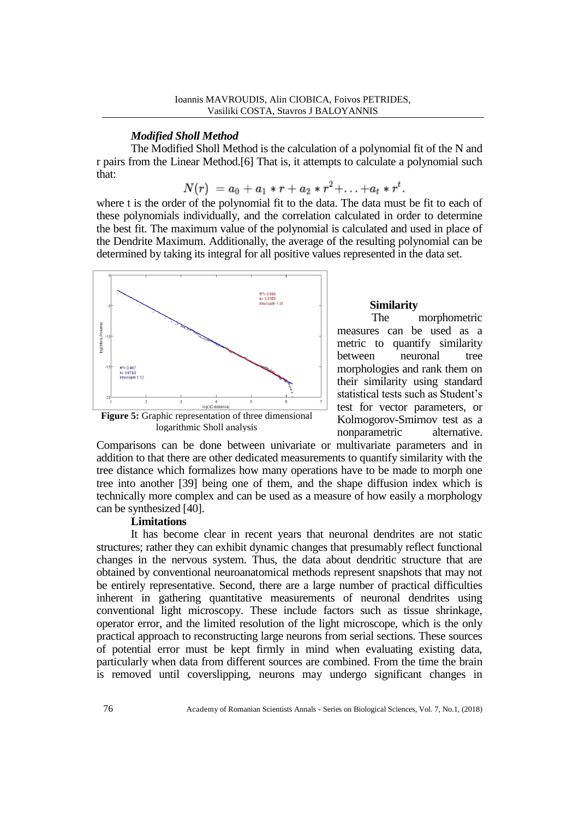## *Modified Sholl Method*

The Modified Sholl Method is the calculation of a polynomial fit of the N and r pairs from the Linear Method.[6] That is, it attempts to calculate a polynomial such that:

$$
N(r) = a_0 + a_1 * r + a_2 * r^2 + \ldots + a_t * r^t.
$$

where t is the order of the polynomial fit to the data. The data must be fit to each of these polynomials individually, and the correlation calculated in order to determine the best fit. The maximum value of the polynomial is calculated and used in place of the Dendrite Maximum. Additionally, the average of the resulting polynomial can be determined by taking its integral for all positive values represented in the data set.



### **Similarity**

The morphometric measures can be used as a metric to quantify similarity between neuronal tree morphologies and rank them on their similarity using standard statistical tests such as Student's test for vector parameters, or Kolmogorov-Smirnov test as a nonparametric alternative.

Comparisons can be done between univariate or multivariate parameters and in addition to that there are other dedicated measurements to quantify similarity with the tree distance which formalizes how many operations have to be made to morph one tree into another [39] being one of them, and the shape diffusion index which is technically more complex and can be used as a measure of how easily a morphology can be synthesized [40].

## **Limitations**

It has become clear in recent years that neuronal dendrites are not static structures; rather they can exhibit dynamic changes that presumably reflect functional changes in the nervous system. Thus, the data about dendritic structure that are obtained by conventional neuroanatomical methods represent snapshots that may not be entirely representative. Second, there are a large number of practical difficulties inherent in gathering quantitative measurements of neuronal dendrites using conventional light microscopy. These include factors such as tissue shrinkage, operator error, and the limited resolution of the light microscope, which is the only practical approach to reconstructing large neurons from serial sections. These sources of potential error must be kept firmly in mind when evaluating existing data, particularly when data from different sources are combined. From the time the brain is removed until coverslipping, neurons may undergo significant changes in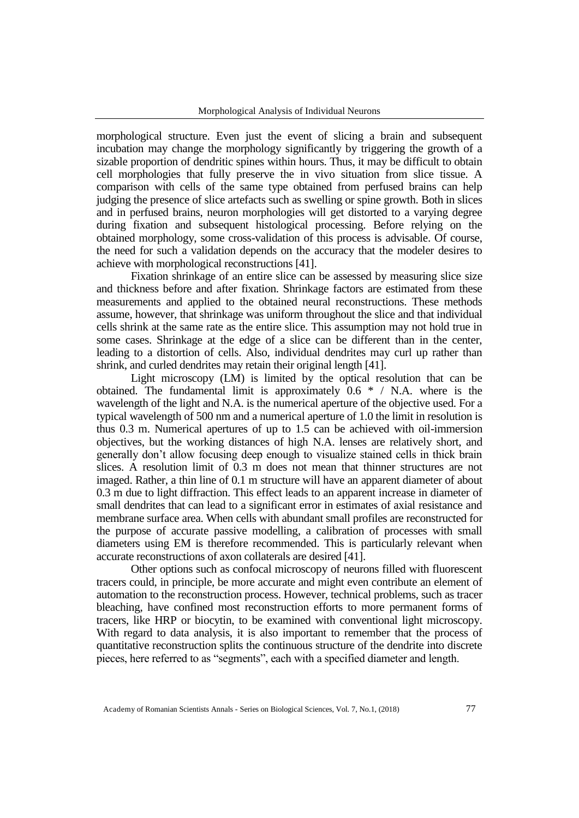morphological structure. Even just the event of slicing a brain and subsequent incubation may change the morphology significantly by triggering the growth of a sizable proportion of dendritic spines within hours. Thus, it may be difficult to obtain cell morphologies that fully preserve the in vivo situation from slice tissue. A comparison with cells of the same type obtained from perfused brains can help judging the presence of slice artefacts such as swelling or spine growth. Both in slices and in perfused brains, neuron morphologies will get distorted to a varying degree during fixation and subsequent histological processing. Before relying on the obtained morphology, some cross-validation of this process is advisable. Of course, the need for such a validation depends on the accuracy that the modeler desires to achieve with morphological reconstructions [41].

Fixation shrinkage of an entire slice can be assessed by measuring slice size and thickness before and after fixation. Shrinkage factors are estimated from these measurements and applied to the obtained neural reconstructions. These methods assume, however, that shrinkage was uniform throughout the slice and that individual cells shrink at the same rate as the entire slice. This assumption may not hold true in some cases. Shrinkage at the edge of a slice can be different than in the center, leading to a distortion of cells. Also, individual dendrites may curl up rather than shrink, and curled dendrites may retain their original length [41].

Light microscopy (LM) is limited by the optical resolution that can be obtained. The fundamental limit is approximately  $0.6 * / N.A$ . where is the wavelength of the light and N.A. is the numerical aperture of the objective used. For a typical wavelength of 500 nm and a numerical aperture of 1.0 the limit in resolution is thus 0.3 m. Numerical apertures of up to 1.5 can be achieved with oil-immersion objectives, but the working distances of high N.A. lenses are relatively short, and generally don't allow focusing deep enough to visualize stained cells in thick brain slices. A resolution limit of 0.3 m does not mean that thinner structures are not imaged. Rather, a thin line of 0.1 m structure will have an apparent diameter of about 0.3 m due to light diffraction. This effect leads to an apparent increase in diameter of small dendrites that can lead to a significant error in estimates of axial resistance and membrane surface area. When cells with abundant small profiles are reconstructed for the purpose of accurate passive modelling, a calibration of processes with small diameters using EM is therefore recommended. This is particularly relevant when accurate reconstructions of axon collaterals are desired [41].

Other options such as confocal microscopy of neurons filled with fluorescent tracers could, in principle, be more accurate and might even contribute an element of automation to the reconstruction process. However, technical problems, such as tracer bleaching, have confined most reconstruction efforts to more permanent forms of tracers, like HRP or biocytin, to be examined with conventional light microscopy. With regard to data analysis, it is also important to remember that the process of quantitative reconstruction splits the continuous structure of the dendrite into discrete pieces, here referred to as "segments", each with a specified diameter and length.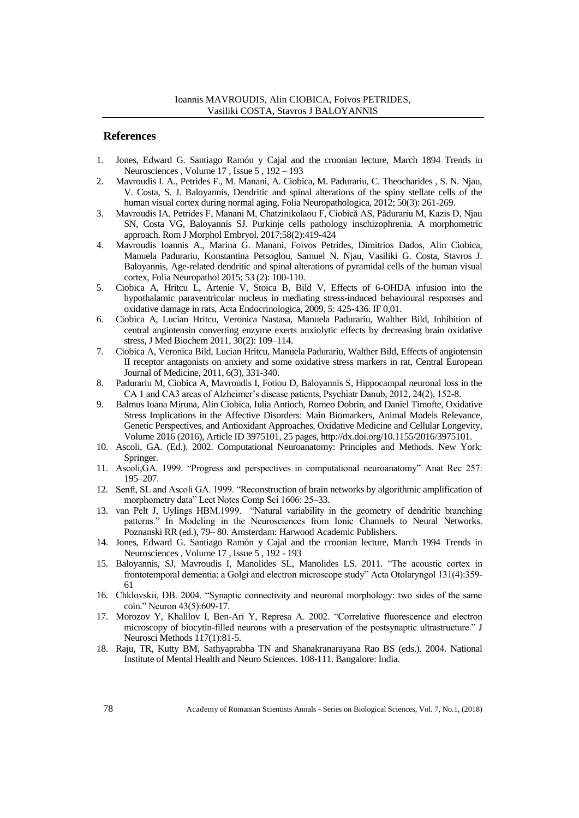#### **References**

- 1. Jones, Edward G. Santiago Ramón y Cajal and the croonian lecture, March 1894 Trends in Neurosciences , Volume 17 , Issue 5 , 192 – 193
- 2. Mavroudis I. A., Petrides F., M. Manani, A. Ciobica, M. Padurariu, C. Theocharides , S. N. Njau, V. Costa, S. J. Baloyannis, Dendritic and spinal alterations of the spiny stellate cells of the human visual cortex during normal aging, Folia Neuropathologica, 2012; 50(3): 261-269.
- 3. Mavroudis IA, Petrides F, Manani M, Chatzinikolaou F, Ciobică AS, Pădurariu M, Kazis D, Njau SN, Costa VG, Baloyannis SJ. Purkinje cells pathology inschizophrenia. A morphometric approach. Rom J Morphol Embryol. 2017;58(2):419-424
- 4. Mavroudis Ioannis A., Marina G. Manani, Foivos Petrides, Dimitrios Dados, Alin Ciobica, Manuela Padurariu, Konstantina Petsoglou, Samuel N. Njau, Vasiliki G. Costa, Stavros J. Baloyannis, Age-related dendritic and spinal alterations of pyramidal cells of the human visual cortex, Folia Neuropathol 2015; 53 (2): 100-110.
- 5. Ciobica A, Hritcu L, Artenie V, Stoica B, Bild V, Effects of 6-OHDA infusion into the hypothalamic paraventricular nucleus in mediating stress-induced behavioural responses and oxidative damage in rats, Acta Endocrinologica, 2009, 5: 425-436. IF 0,01.
- 6. Ciobica A, Lucian Hritcu, Veronica Nastasa, Manuela Padurariu, Walther Bild, Inhibition of central angiotensin converting enzyme exerts anxiolytic effects by decreasing brain oxidative stress, J Med Biochem 2011, 30(2): 109–114.
- 7. Ciobica A, Veronica Bild, Lucian Hritcu, Manuela Padurariu, Walther Bild, Effects of angiotensin II receptor antagonists on anxiety and some oxidative stress markers in rat, Central European Journal of Medicine, 2011, 6(3), 331-340.
- 8. Padurariu M, Ciobica A, Mavroudis I, Fotiou D, Baloyannis S, Hippocampal neuronal loss in the CA 1 and CA3 areas of Alzheimer's disease patients, Psychiatr Danub, 2012, 24(2), 152-8.
- 9. Balmus Ioana Miruna, Alin Ciobica, Iulia Antioch, Romeo Dobrin, and Daniel Timofte, Oxidative Stress Implications in the Affective Disorders: Main Biomarkers, Animal Models Relevance, Genetic Perspectives, and Antioxidant Approaches, Oxidative Medicine and Cellular Longevity, Volume 2016 (2016), Article ID 3975101, 25 pages, http://dx.doi.org/10.1155/2016/3975101.
- 10. Ascoli, GA. (Ed.). 2002. Computational Neuroanatomy: Principles and Methods. New York: Springer.
- 11. Ascoli,GA. 1999. "Progress and perspectives in computational neuroanatomy" Anat Rec 257: 195–207.
- 12. Senft, SL and Ascoli GA. 1999. "Reconstruction of brain networks by algorithmic amplification of morphometry data" Lect Notes Comp Sci 1606: 25–33.
- 13. van Pelt J, Uylings HBM.1999. "Natural variability in the geometry of dendritic branching patterns." In Modeling in the Neurosciences from Ionic Channels to Neural Networks. Poznanski RR (ed.), 79– 80. Amsterdam: Harwood Academic Publishers.
- 14. Jones, Edward G. Santiago Ramón y Cajal and the croonian lecture, March 1994 Trends in Neurosciences , Volume 17 , Issue 5 , 192 - 193
- 15. Baloyannis, SJ, Mavroudis I, Manolides SL, Manolides LS. 2011. "The acoustic cortex in frontotemporal dementia: a Golgi and electron microscope study" Acta Otolaryngol 131(4):359- 61
- 16. Chklovskii, DB. 2004. "Synaptic connectivity and neuronal morphology: two sides of the same coin." Neuron 43(5):609-17.
- 17. Morozov Y, Khalilov I, Ben-Ari Y, Represa A. 2002. "Correlative fluorescence and electron microscopy of biocytin-filled neurons with a preservation of the postsynaptic ultrastructure." J Neurosci Methods 117(1):81-5.
- 18. Raju, TR, Kutty BM, Sathyaprabha TN and Shanakranarayana Rao BS (eds.). 2004. National Institute of Mental Health and Neuro Sciences. 108-111. Bangalore: India.